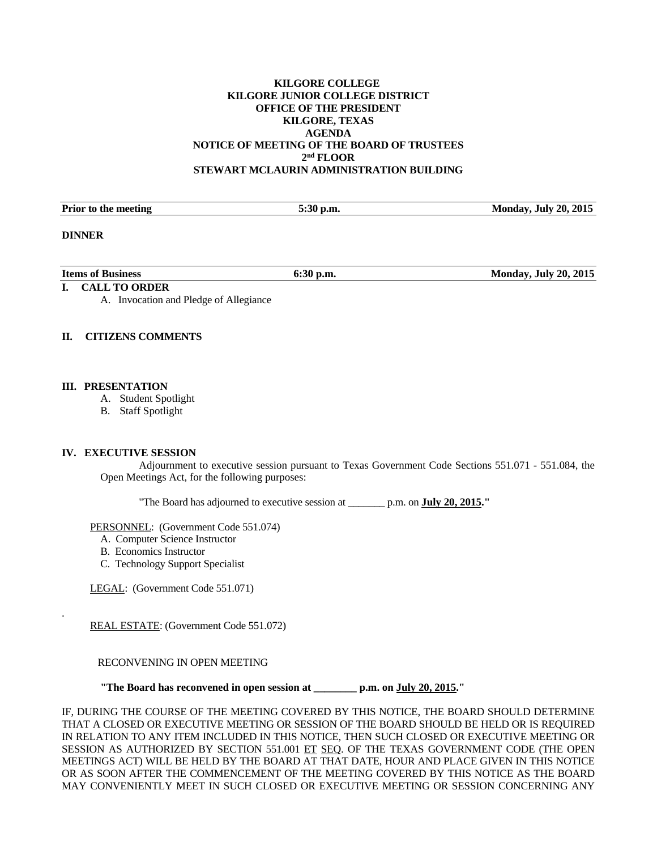# **KILGORE COLLEGE KILGORE JUNIOR COLLEGE DISTRICT OFFICE OF THE PRESIDENT KILGORE, TEXAS AGENDA NOTICE OF MEETING OF THE BOARD OF TRUSTEES 2nd FLOOR STEWART MCLAURIN ADMINISTRATION BUILDING**

| <b>Prior to the meeting</b> | $\mathbf{A}$<br>$^{\circ}$ p.m.<br>וור:ר | . July 20. 2015<br>Mondav |
|-----------------------------|------------------------------------------|---------------------------|
|                             |                                          |                           |

#### **DINNER**

.

| <b>Items of Business</b> | $\mathbf{D}.\mathbf{m}$<br>v.c<br>$  -$ | 20, 2015<br>- July (<br>Mondav<br>------- |
|--------------------------|-----------------------------------------|-------------------------------------------|
|                          |                                         |                                           |

# **I. CALL TO ORDER**

A. Invocation and Pledge of Allegiance

# **II. CITIZENS COMMENTS**

#### **III. PRESENTATION**

- A. Student Spotlight
- B. Staff Spotlight

#### **IV. EXECUTIVE SESSION**

 Adjournment to executive session pursuant to Texas Government Code Sections 551.071 - 551.084, the Open Meetings Act, for the following purposes:

"The Board has adjourned to executive session at \_\_\_\_\_\_\_ p.m. on **July 20, 2015."** 

PERSONNEL: (Government Code 551.074)

- A. Computer Science Instructor
- B. Economics Instructor
- C. Technology Support Specialist

LEGAL: (Government Code 551.071)

REAL ESTATE: (Government Code 551.072)

# RECONVENING IN OPEN MEETING

 **"The Board has reconvened in open session at \_\_\_\_\_\_\_\_ p.m. on July 20, 2015."** 

IF, DURING THE COURSE OF THE MEETING COVERED BY THIS NOTICE, THE BOARD SHOULD DETERMINE THAT A CLOSED OR EXECUTIVE MEETING OR SESSION OF THE BOARD SHOULD BE HELD OR IS REQUIRED IN RELATION TO ANY ITEM INCLUDED IN THIS NOTICE, THEN SUCH CLOSED OR EXECUTIVE MEETING OR SESSION AS AUTHORIZED BY SECTION 551.001 ET SEQ. OF THE TEXAS GOVERNMENT CODE (THE OPEN MEETINGS ACT) WILL BE HELD BY THE BOARD AT THAT DATE, HOUR AND PLACE GIVEN IN THIS NOTICE OR AS SOON AFTER THE COMMENCEMENT OF THE MEETING COVERED BY THIS NOTICE AS THE BOARD MAY CONVENIENTLY MEET IN SUCH CLOSED OR EXECUTIVE MEETING OR SESSION CONCERNING ANY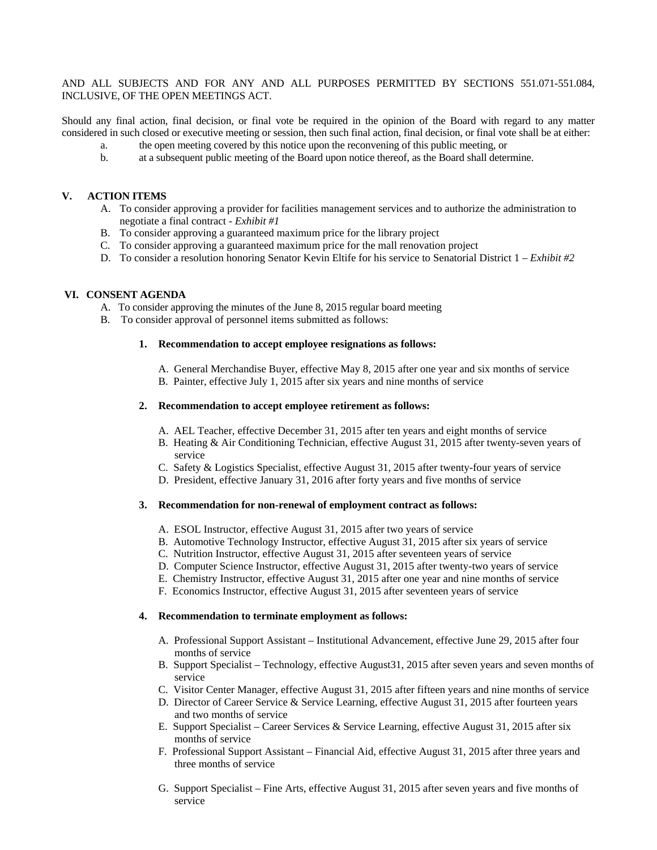AND ALL SUBJECTS AND FOR ANY AND ALL PURPOSES PERMITTED BY SECTIONS 551.071-551.084, INCLUSIVE, OF THE OPEN MEETINGS ACT.

Should any final action, final decision, or final vote be required in the opinion of the Board with regard to any matter considered in such closed or executive meeting or session, then such final action, final decision, or final vote shall be at either:

- a. the open meeting covered by this notice upon the reconvening of this public meeting, or
- b. at a subsequent public meeting of the Board upon notice thereof, as the Board shall determine.

# **V. ACTION ITEMS**

- A. To consider approving a provider for facilities management services and to authorize the administration to negotiate a final contract - *Exhibit #1*
- B. To consider approving a guaranteed maximum price for the library project
- C. To consider approving a guaranteed maximum price for the mall renovation project
- D. To consider a resolution honoring Senator Kevin Eltife for his service to Senatorial District 1 *Exhibit #2*

# **VI. CONSENT AGENDA**

- A. To consider approving the minutes of the June 8, 2015 regular board meeting
- B. To consider approval of personnel items submitted as follows:

# **1. Recommendation to accept employee resignations as follows:**

- A. General Merchandise Buyer, effective May 8, 2015 after one year and six months of service
- B. Painter, effective July 1, 2015 after six years and nine months of service

#### **2. Recommendation to accept employee retirement as follows:**

- A. AEL Teacher, effective December 31, 2015 after ten years and eight months of service
- B. Heating & Air Conditioning Technician, effective August 31, 2015 after twenty-seven years of service
- C. Safety & Logistics Specialist, effective August 31, 2015 after twenty-four years of service
- D. President, effective January 31, 2016 after forty years and five months of service

#### **3. Recommendation for non-renewal of employment contract as follows:**

- A. ESOL Instructor, effective August 31, 2015 after two years of service
- B. Automotive Technology Instructor, effective August 31, 2015 after six years of service
- C. Nutrition Instructor, effective August 31, 2015 after seventeen years of service
- D. Computer Science Instructor, effective August 31, 2015 after twenty-two years of service
- E. Chemistry Instructor, effective August 31, 2015 after one year and nine months of service
- F. Economics Instructor, effective August 31, 2015 after seventeen years of service

#### **4. Recommendation to terminate employment as follows:**

- A. Professional Support Assistant Institutional Advancement, effective June 29, 2015 after four months of service
- B. Support Specialist Technology, effective August31, 2015 after seven years and seven months of service
- C. Visitor Center Manager, effective August 31, 2015 after fifteen years and nine months of service
- D. Director of Career Service & Service Learning, effective August 31, 2015 after fourteen years and two months of service
- E. Support Specialist Career Services & Service Learning, effective August 31, 2015 after six months of service
- F. Professional Support Assistant Financial Aid, effective August 31, 2015 after three years and three months of service
- G. Support Specialist Fine Arts, effective August 31, 2015 after seven years and five months of service